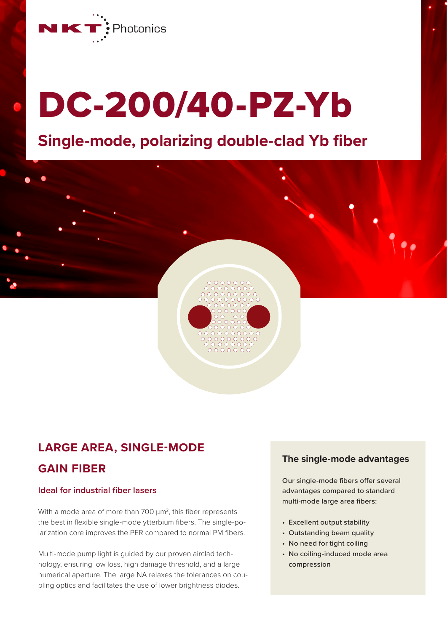

# DC-200/40-PZ-Yb

# **Single-mode, polarizing double-clad Yb fiber**

## **LARGE AREA, SINGLE-MODE**

## **GAIN FIBER**

#### **Ideal for industrial fiber lasers**

With a mode area of more than  $700 \mu m^2$ , this fiber represents the best in flexible single-mode ytterbium fibers. The single-polarization core improves the PER compared to normal PM fibers.

Multi-mode pump light is guided by our proven airclad technology, ensuring low loss, high damage threshold, and a large numerical aperture. The large NA relaxes the tolerances on coupling optics and facilitates the use of lower brightness diodes.

#### **The single-mode advantages**

Our single-mode fibers offer several advantages compared to standard multi-mode large area fibers:

- Excellent output stability
- Outstanding beam quality
- No need for tight coiling
- No coiling-induced mode area compression